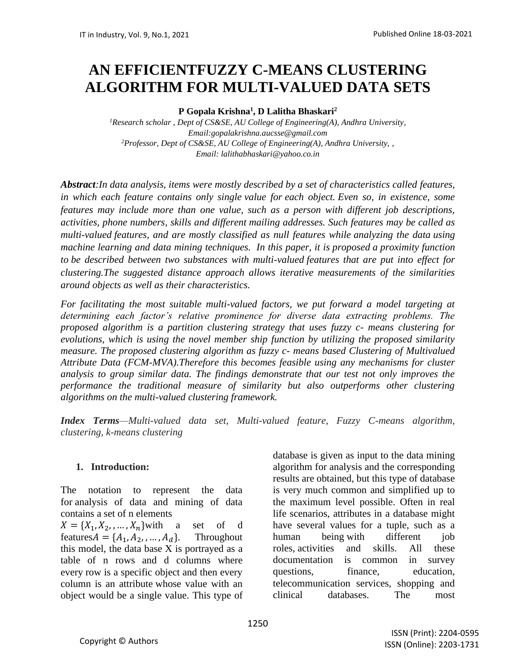# **AN EFFICIENTFUZZY C-MEANS CLUSTERING ALGORITHM FOR MULTI-VALUED DATA SETS**

#### **P Gopala Krishna<sup>1</sup> , D Lalitha Bhaskari<sup>2</sup>**

*<sup>1</sup>Research scholar , Dept of CS&SE, AU College of Engineering(A), Andhra University, Email:gopalakrishna.aucsse@gmail.com <sup>2</sup>Professor, Dept of CS&SE, AU College of Engineering(A), Andhra University, , Email: lalithabhaskari@yahoo.co.in*

*Abstract:In data analysis, items were mostly described by a set of characteristics called features, in which each feature contains only single value for each object. Even so, in existence, some features may include more than one value, such as a person with different job descriptions, activities, phone numbers, skills and different mailing addresses. Such features may be called as multi-valued features, and are mostly classified as null features while analyzing the data using machine learning and data mining techniques. In this paper, it is proposed a proximity function to be described between two substances with multi-valued features that are put into effect for clustering.The suggested distance approach allows iterative measurements of the similarities around objects as well as their characteristics.*

*For facilitating the most suitable multi-valued factors, we put forward a model targeting at determining each factor's relative prominence for diverse data extracting problems. The proposed algorithm is a partition clustering strategy that uses fuzzy c- means clustering for evolutions, which is using the novel member ship function by utilizing the proposed similarity measure. The proposed clustering algorithm as fuzzy c- means based Clustering of Multivalued Attribute Data (FCM-MVA).Therefore this becomes feasible using any mechanisms for cluster analysis to group similar data. The findings demonstrate that our test not only improves the performance the traditional measure of similarity but also outperforms other clustering algorithms on the multi-valued clustering framework.*

*Index Terms—Multi-valued data set, Multi-valued feature, Fuzzy C-means algorithm, clustering, k-means clustering*

#### **1. Introduction:**

The notation to represent the data for analysis of data and mining of data contains a set of n elements

 $X = \{X_1, X_2, ..., X_n\}$  with a set of d features  $A = \{A_1, A_2, \dots, A_d\}$ . Throughout this model, the data base X is portrayed as a table of n rows and d columns where every row is a specific object and then every column is an attribute whose value with an object would be a single value. This type of

database is given as input to the data mining algorithm for analysis and the corresponding results are obtained, but this type of database is very much common and simplified up to the maximum level possible. Often in real life scenarios, attributes in a database might have several values for a tuple, such as a human being with different job roles, activities and skills. All these documentation is common in survey questions, finance, education, telecommunication services, shopping and clinical databases. The most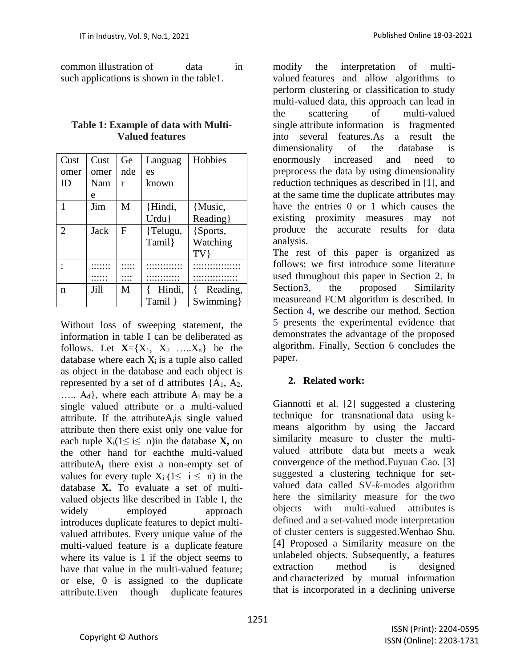common illustration of data in such applications is shown in the table1.

| <b>Table 1: Example of data with Multi-</b> |
|---------------------------------------------|
| <b>Valued features</b>                      |

| Cust | Cust | Ge        | Languag  | Hobbies   |
|------|------|-----------|----------|-----------|
| omer | omer | nde       | es       |           |
| ID   | Nam  | r         | known    |           |
|      | e    |           |          |           |
|      | Jim  | M         | {Hindi,  | {Music,   |
|      |      |           | Urdu     | Reading } |
| 2    | Jack | F         | {Telugu, | {Sports,  |
|      |      |           | Tamil }  | Watching  |
|      |      |           |          | TV l      |
|      |      | $\ddotsc$ |          |           |
|      |      |           |          |           |
| n    | Jill | M         | Hindi,   | Reading,  |
|      |      |           | Tamil    | Swimming  |

Without loss of sweeping statement, the information in table I can be deliberated as follows. Let  $X = \{X_1, X_2, \ldots, X_n\}$  be the database where each  $X_i$  is a tuple also called as object in the database and each object is represented by a set of d attributes  ${A_1, A_2, A_3}$  $..., A<sub>d</sub>$ , where each attribute  $A<sub>i</sub>$  may be a single valued attribute or a multi-valued attribute. If the attributeAjis single valued attribute then there exist only one value for each tuple  $X_i(1 \le i \le n)$  in the database **X**, on the other hand for eachthe multi-valued attributeA<sup>j</sup> there exist a non-empty set of values for every tuple  $X_i$  (1≤ i ≤ n) in the database **X.** To evaluate a set of multivalued objects like described in Table I, the widely employed approach introduces duplicate features to depict multivalued attributes. Every unique value of the multi-valued feature is a duplicate feature where its value is 1 if the object seems to have that value in the multi-valued feature; or else, 0 is assigned to the duplicate attribute.Even though duplicate features

modify the interpretation of multivalued features and allow algorithms to perform clustering or classification to study multi-valued data, this approach can lead in the scattering of multi-valued single attribute information is fragmented into several features.As a result the dimensionality of the database is enormously increased and need to preprocess the data by using dimensionality reduction techniques as described in [1], and at the same time the duplicate attributes may have the entries 0 or 1 which causes the existing proximity measures may not produce the accurate results for data analysis.

The rest of this paper is organized as follows: we first introduce some literature used throughout this paper in Section 2. In Section3, the proposed Similarity measureand FCM algorithm is described. In Section 4, we describe our method. Section 5 presents the experimental evidence that demonstrates the advantage of the proposed algorithm. Finally, Section 6 concludes the paper.

#### **2. Related work:**

Giannotti et al. [2] suggested a clustering technique for transnational data using kmeans algorithm by using the Jaccard similarity measure to cluster the multivalued attribute data but meets a weak convergence of the method.Fuyuan Cao. [3] suggested a clustering technique for setvalued data called SV-*k*-modes algorithm here the similarity measure for the two objects with multi-valued attributes is defined and a set-valued mode interpretation of cluster centers is suggested.Wenhao Shu. [4] Proposed a Similarity measure on the unlabeled objects. Subsequently, a features extraction method is designed and characterized by mutual information that is incorporated in a declining universe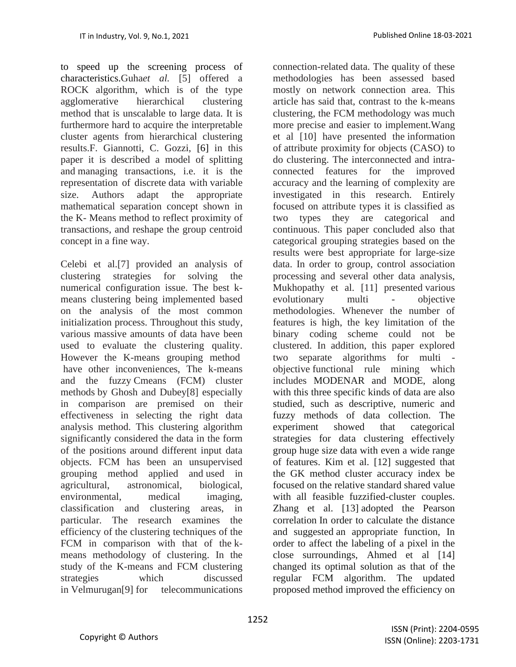to speed up the screening process of characteristics.Guha*et al.* [5] offered a ROCK algorithm, which is of the type agglomerative hierarchical clustering method that is unscalable to large data. It is furthermore hard to acquire the interpretable cluster agents from hierarchical clustering results.F. Giannotti, C. Gozzi, [6] in this paper it is described a model of splitting and managing transactions, i.e. it is the representation of discrete data with variable size. Authors adapt the appropriate mathematical separation concept shown in the K- Means method to reflect proximity of transactions, and reshape the group centroid concept in a fine way.

Celebi et al.[7] provided an analysis of clustering strategies for solving the numerical configuration issue. The best kmeans clustering being implemented based on the analysis of the most common initialization process. Throughout this study, various massive amounts of data have been used to evaluate the clustering quality. However the K-means grouping method have other inconveniences, The k-means and the fuzzy Cmeans (FCM) cluster methods by Ghosh and Dubey[8] especially in comparison are premised on their effectiveness in selecting the right data analysis method. This clustering algorithm significantly considered the data in the form of the positions around different input data objects. FCM has been an unsupervised grouping method applied and used in agricultural, astronomical, biological, environmental, medical imaging, classification and clustering areas, in particular. The research examines the efficiency of the clustering techniques of the FCM in comparison with that of the kmeans methodology of clustering. In the study of the K-means and FCM clustering strategies which discussed in Velmurugan[9] for telecommunications

connection-related data. The quality of these methodologies has been assessed based mostly on network connection area. This article has said that, contrast to the k-means clustering, the FCM methodology was much more precise and easier to implement.Wang et al [10] have presented the information of attribute proximity for objects (CASO) to do clustering. The interconnected and intraconnected features for the improved accuracy and the learning of complexity are investigated in this research. Entirely focused on attribute types it is classified as two types they are categorical and continuous. This paper concluded also that categorical grouping strategies based on the results were best appropriate for large-size data. In order to group, control association processing and several other data analysis, Mukhopathy et al. [11] presented various evolutionary multi - objective methodologies. Whenever the number of features is high, the key limitation of the binary coding scheme could not be clustered. In addition, this paper explored two separate algorithms for multi objective functional rule mining which includes MODENAR and MODE, along with this three specific kinds of data are also studied, such as descriptive, numeric and fuzzy methods of data collection. The experiment showed that categorical strategies for data clustering effectively group huge size data with even a wide range of features. Kim et al. [12] suggested that the GK method cluster accuracy index be focused on the relative standard shared value with all feasible fuzzified-cluster couples. Zhang et al. [13] adopted the Pearson correlation In order to calculate the distance and suggested an appropriate function, In order to affect the labeling of a pixel in the close surroundings, Ahmed et al [14] changed its optimal solution as that of the regular FCM algorithm. The updated proposed method improved the efficiency on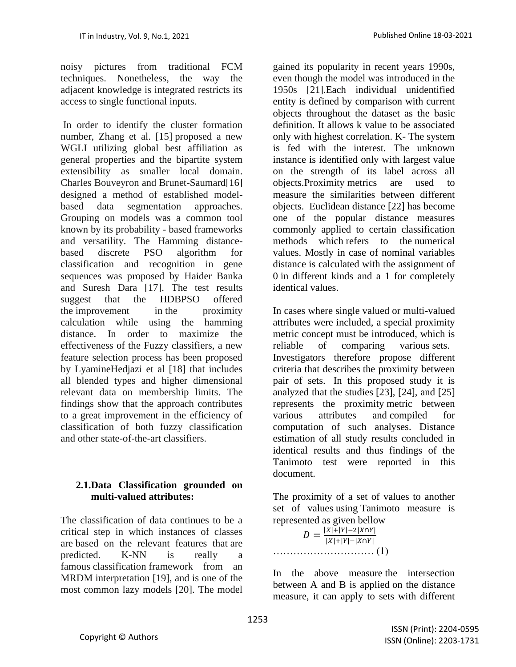noisy pictures from traditional FCM techniques. Nonetheless, the way the adjacent knowledge is integrated restricts its access to single functional inputs.

In order to identify the cluster formation number, Zhang et al. [15] proposed a new WGLI utilizing global best affiliation as general properties and the bipartite system extensibility as smaller local domain. Charles Bouveyron and Brunet-Saumard[16] designed a method of established modelbased data segmentation approaches. Grouping on models was a common tool known by its probability - based frameworks and versatility. The Hamming distancebased discrete PSO algorithm for classification and recognition in gene sequences was proposed by Haider Banka and Suresh Dara [17]. The test results suggest that the HDBPSO offered the improvement in the proximity calculation while using the hamming distance. In order to maximize the effectiveness of the Fuzzy classifiers, a new feature selection process has been proposed by LyamineHedjazi et al [18] that includes all blended types and higher dimensional relevant data on membership limits. The findings show that the approach contributes to a great improvement in the efficiency of classification of both fuzzy classification and other state-of-the-art classifiers.

# **2.1.Data Classification grounded on multi-valued attributes:**

The classification of data continues to be a critical step in which instances of classes are based on the relevant features that are predicted. K-NN is really a famous classification framework from an MRDM interpretation [19], and is one of the most common lazy models [20]. The model gained its popularity in recent years 1990s, even though the model was introduced in the 1950s [21].Each individual unidentified entity is defined by comparison with current objects throughout the dataset as the basic definition. It allows k value to be associated only with highest correlation. K- The system is fed with the interest. The unknown instance is identified only with largest value on the strength of its label across all objects.Proximity metrics are used to measure the similarities between different objects. Euclidean distance [22] has become one of the popular distance measures commonly applied to certain classification methods which refers to the numerical values. Mostly in case of nominal variables distance is calculated with the assignment of 0 in different kinds and a 1 for completely identical values.

In cases where single valued or multi-valued attributes were included, a special proximity metric concept must be introduced, which is reliable of comparing various sets. Investigators therefore propose different criteria that describes the proximity between pair of sets. In this proposed study it is analyzed that the studies [23], [24], and [25] represents the proximity metric between various attributes and compiled for computation of such analyses. Distance estimation of all study results concluded in identical results and thus findings of the Tanimoto test were reported in this document.

The proximity of a set of values to another set of values using Tanimoto measure is represented as given bellow

$$
D = \frac{|X| + |Y| - 2|X \cap Y|}{|X| + |Y| - |X \cap Y|}
$$
\n(1)

In the above measure the intersection between A and B is applied on the distance measure, it can apply to sets with different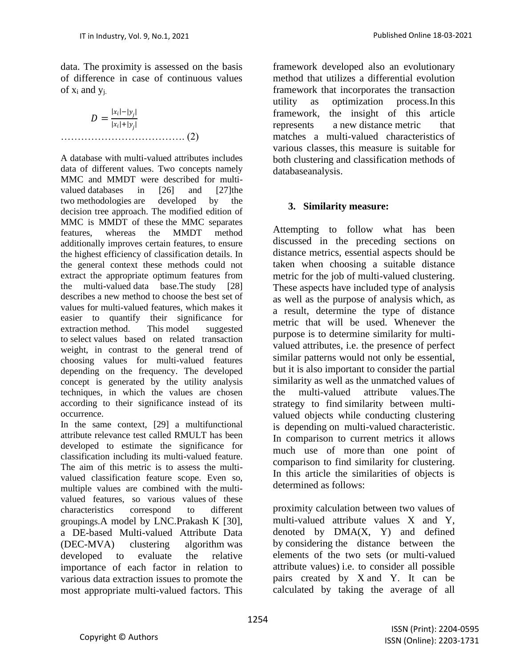data. The proximity is assessed on the basis of difference in case of continuous values of  $x_i$  and  $y_i$ .

$$
D = \frac{|x_i| - |y_j|}{|x_i| + |y_j|}
$$

A database with multi-valued attributes includes data of different values. Two concepts namely MMC and MMDT were described for multivalued databases in [26] and [27] the two methodologies are developed by the decision tree approach. The modified edition of MMC is MMDT of these the MMC separates features, whereas the MMDT method additionally improves certain features, to ensure the highest efficiency of classification details. In the general context these methods could not extract the appropriate optimum features from the multi-valued data base.The study [28] describes a new method to choose the best set of values for multi-valued features, which makes it easier to quantify their significance for extraction method. This model suggested to select values based on related transaction weight, in contrast to the general trend of choosing values for multi-valued features depending on the frequency. The developed concept is generated by the utility analysis techniques, in which the values are chosen according to their significance instead of its occurrence.

In the same context, [29] a multifunctional attribute relevance test called RMULT has been developed to estimate the significance for classification including its multi-valued feature. The aim of this metric is to assess the multivalued classification feature scope. Even so, multiple values are combined with the multivalued features, so various values of these characteristics correspond to different groupings.A model by LNC.Prakash K [30], a DE-based Multi-valued Attribute Data (DEC-MVA) clustering algorithm was developed to evaluate the relative importance of each factor in relation to various data extraction issues to promote the most appropriate multi-valued factors. This

framework developed also an evolutionary method that utilizes a differential evolution framework that incorporates the transaction utility as optimization process.In this framework, the insight of this article represents a new distance metric that matches a multi-valued characteristics of various classes, this measure is suitable for both clustering and classification methods of databaseanalysis.

#### **3. Similarity measure:**

Attempting to follow what has been discussed in the preceding sections on distance metrics, essential aspects should be taken when choosing a suitable distance metric for the job of multi-valued clustering. These aspects have included type of analysis as well as the purpose of analysis which, as a result, determine the type of distance metric that will be used. Whenever the purpose is to determine similarity for multivalued attributes, i.e. the presence of perfect similar patterns would not only be essential, but it is also important to consider the partial similarity as well as the unmatched values of the multi-valued attribute values.The strategy to find similarity between multivalued objects while conducting clustering is depending on multi-valued characteristic. In comparison to current metrics it allows much use of more than one point of comparison to find similarity for clustering. In this article the similarities of objects is determined as follows:

proximity calculation between two values of multi-valued attribute values X and Y, denoted by DMA(X, Y) and defined by considering the distance between the elements of the two sets (or multi-valued attribute values) i.e. to consider all possible pairs created by X and Y. It can be calculated by taking the average of all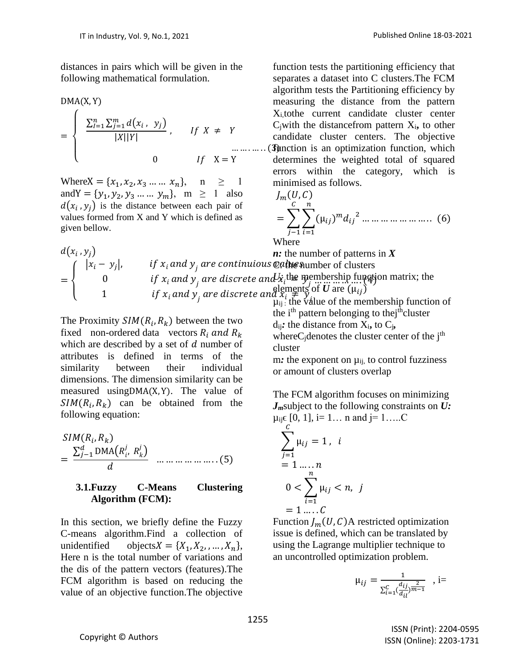distances in pairs which will be given in the following mathematical formulation.

$$
DMA(X, Y)
$$
  
= 
$$
\begin{cases} \frac{\sum_{i=1}^{n} \sum_{j=1}^{m} d(x_i, y_j)}{|X||Y|}, & if X \neq Y \\ 0 & if X = Y \end{cases}
$$
........

Where  $X = \{x_1, x_2, x_3, \dots, x_n\}, \quad n \geq 1$ and  $Y = \{y_1, y_2, y_3, \dots, y_m\}$ ,  $m \ge 1$  also  $d(x_i, y_j)$  is the distance between each pair of values formed from X and Y which is defined as given bellow.

 $d(x_i, y_j)$ 

... ........ (3) inction is an optimization function, which function tests the partitioning efficiency that separates a dataset into C clusters.The FCM algorithm tests the Partitioning efficiency by measuring the distance from the pattern Xi,tothe current candidate cluster center Cjwith the distancefrom pattern Xi**,** to other candidate cluster centers. The objective determines the weighted total of squared errors within the category, which is minimised as follows.

(, ) = ∑∑(µ) <sup>2</sup> … … … … … … … .. (6) =1 −1

Where

*n:* the number of patterns in *X*

=  $\overline{\mathcal{L}}$  $\mathbf{I}$  $\int |x_i - y_j|,$  if  $x_i$  and  $y_j$  are continuious  $\mathcal{Q}$ alues 0  $if x_i$  and  $y_j$  are discrete and  $\dot{x_i}$  the me 1 if  $x_i$  and  $y_j$  are discrete and  $x_i \neq y_i$ <br> $\downarrow$ mbersnip rungty **Cathe number of clusters**  $U_{\mathbf{x}}$ , the membership function matrix; the elements of *U* are  $(\mu_{ij})$ 

The Proximity  $SIM(R_i, R_k)$  between the two fixed non-ordered data vectors  $R_i$  and  $R_k$ which are described by a set of  $d$  number of attributes is defined in terms of the similarity between their individual dimensions. The dimension similarity can be measured usingDMA(X, Y). The value of  $SIM(R_i, R_k)$  can be obtained from the following equation:

$$
SIM(R_i, R_k)
$$
  
= 
$$
\frac{\sum_{j=1}^{d} \text{DMA}(R_i^j, R_k^j)}{d}
$$
 .... ... .... ... (5)

#### **3.1.Fuzzy C-Means Clustering Algorithm (FCM):**

In this section, we briefly define the Fuzzy C-means algorithm.Find a collection of unidentified objects  $X = \{X_1, X_2, \dots, X_n\},\$ Here n is the total number of variations and the dis of the pattern vectors (features).The FCM algorithm is based on reducing the value of an objective function.The objective

 $\mu_{ij}$ : the value of the membership function of the i<sup>th</sup> pattern belonging to thej<sup>th</sup>cluster dij*:* the distance from Xi**,** to Cj*,*  where  $C_i$  denotes the cluster center of the  $j<sup>th</sup>$ cluster

m: the exponent on  $\mu_{ij}$  to control fuzziness or amount of clusters overlap

The FCM algorithm focuses on minimizing *Jm*subject to the following constraints on *U:*  $\mu_{ij} \in [0, 1], i = 1...$  n and  $j = 1...$ C

$$
\sum_{j=1}^{C} \mu_{ij} = 1, i
$$
  
= 1 ......*n*  

$$
0 < \sum_{i=1}^{n} \mu_{ij} < n, j
$$
  
= 1 ......*C*

Function  $J_m(U, C)$ A restricted optimization issue is defined, which can be translated by using the Lagrange multiplier technique to an uncontrolled optimization problem.

$$
\mu_{ij} = \frac{1}{\sum_{i=1}^{C} (\frac{di_j}{di})^{\frac{2}{m-1}}}, i =
$$

ISSN (Print): 2204-0595 ISSN (Online): 2203-1731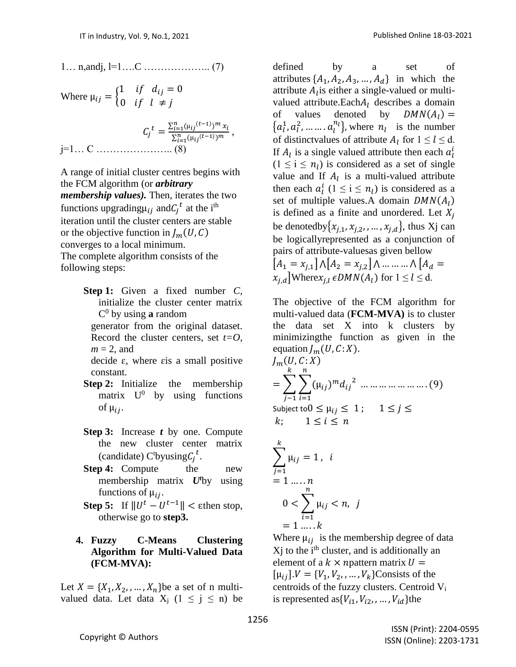1... n, andj, 
$$
1=1
$$
...C ... (7)

Where 
$$
\mu_{ij} = \begin{cases} 1 & \text{if } d_{ij} = 0 \\ 0 & \text{if } l \neq j \end{cases}
$$
  

$$
C_j^t = \frac{\sum_{i=1}^n (\mu_{ij}^{(t-1)})^m x_i}{\sum_{i=1}^n (\mu_{ij}^{(t-1)})^m},
$$
  
j=1... C ....... (8)

A range of initial cluster centres begins with the FCM algorithm (or *arbitrary membership values).* Then, iterates the two functions upgrading  $\mu_{ij}$  and  $C_j^t$  at the i<sup>th</sup> iteration until the cluster centers are stable or the objective function in  $J_m(U, C)$ converges to a local minimum. The complete algorithm consists of the

following steps:

**Step 1:** Given a fixed number *C,*  initialize the cluster center matrix C 0 by using **a** random

generator from the original dataset. Record the cluster centers, set *t=O,*   $m = 2$ , and

decide ɛ, where ɛis a small positive constant.

- **Step 2:** Initialize the membership matrix  $U^0$  by using functions of  $\mu_{ij}$ .
- **Step 3:** Increase *t* by one. Compute the new cluster center matrix (candidate) C<sup>t</sup>byusing $C_j^t$ .
- **Step 4:** Compute the new membership matrix *U<sup>t</sup>*by using functions of  $\mu_{ij}$ .
- **Step 5:** If  $||U^t U^{t-1}|| <$  at then stop, otherwise go to **step3.**

# **4. Fuzzy C-Means Clustering Algorithm for Multi-Valued Data (FCM-MVA):**

Let  $X = \{X_1, X_2, ..., X_n\}$ be a set of n multivalued data. Let data  $X_i$   $(1 \le i \le n)$  be

defined by a set of attributes  $\{A_1, A_2, A_3, \dots, A_d\}$  in which the attribute  $A_l$  is either a single-valued or multivalued attribute.Each $A_i$  describes a domain of values denoted by  $DMN(A_l) =$  $\{a_l^1, a_l^2, \dots, a_l^{n_l}\}$ , where  $n_l$  is the number of distinctvalues of attribute  $A_l$  for  $1 \le l \le d$ . If  $A_l$  is a single valued attribute then each  $a_l^i$  $(1 \le i \le n_l)$  is considered as a set of single value and If  $A_l$  is a multi-valued attribute then each  $a_l^i$   $(1 \le i \le n_l)$  is considered as a set of multiple values. A domain  $DMN(A_l)$ is defined as a finite and unordered. Let  $X_i$ be denotedby $\{x_{i,1}, x_{i,2}, \ldots, x_{i,d}\}$ , thus Xj can be logicallyrepresented as a conjunction of pairs of attribute-valuesas given bellow  $[A_1 = x_{i,1}] \wedge [A_2 = x_{i,2}] \wedge ... ... \wedge [A_d =$  $[x_{j,d}]$ Where $x_{j,l}$   $\epsilon$ DMN $(A_l)$  for  $1 \le l \le d$ .

The objective of the FCM algorithm for multi-valued data (**FCM-MVA)** is to cluster the data set X into k clusters by minimizingthe function as given in the equation  $J_m(U, C: X)$ .

$$
J_m(U, C; X)
$$
  
=  $\sum_{j-1}^{k} \sum_{i=1}^{n} (\mu_{ij})^m d_{ij}^2 \dots \dots \dots \dots \dots \dots \dots (9)$   
Subject to  $0 \le \mu_{ij} \le 1$ ;  $1 \le j \le$ 

$$
k; \qquad 1 \le i \le n
$$

$$
\sum_{j=1}^{k} \mu_{ij} = 1, i
$$
  
= 1 .... n  

$$
0 < \sum_{i=1}^{n} \mu_{ij} < n, j
$$
  
= 1 .... k

Where  $\mu_{ij}$  is the membership degree of data  $Xj$  to the i<sup>th</sup> cluster, and is additionally an element of a  $k \times n$  pattern matrix  $U =$  $[\mu_{ij}]$ .  $V = \{V_1, V_2, \dots, V_k\}$ Consists of the centroids of the fuzzy clusters. Centroid V<sup>i</sup> is represented as  $\{V_{i1}, V_{i2}, \ldots, V_{id}\}$  the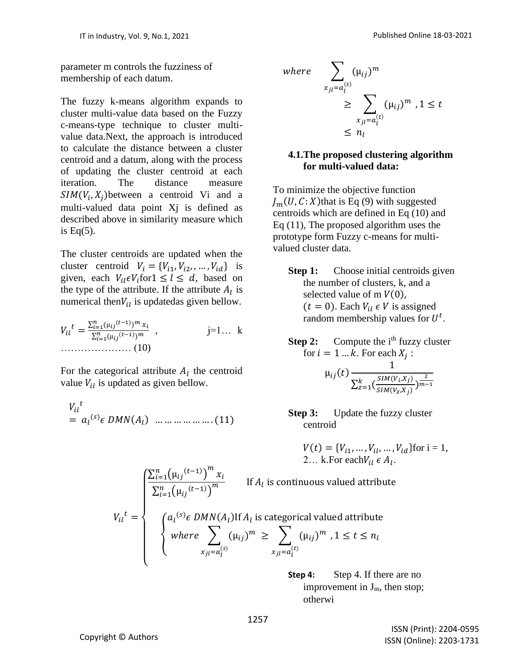parameter m controls the fuzziness of membership of each datum.

The fuzzy k-means algorithm expands to cluster multi-value data based on the Fuzzy c-means-type technique to cluster multivalue data.Next, the approach is introduced to calculate the distance between a cluster centroid and a datum, along with the process of updating the cluster centroid at each iteration. The distance measure  $SIM(V_i, X_j)$ between a centroid Vi and a multi-valued data point Xj is defined as described above in similarity measure which is Eq $(5)$ .

The cluster centroids are updated when the cluster centroid  $V_i = \{V_{i1}, V_{i2}, ..., V_{id}\}$  is given, each  $V_{il} \in V_i$  for  $1 \leq l \leq d$ , based on the type of the attribute. If the attribute  $A_l$  is numerical then  $V_{il}$  is updated as given bellow.

$$
V_{il}^{t} = \frac{\sum_{i=1}^{n} (\mu_{ij}^{(t-1)})^{m} x_{i}}{\sum_{i=1}^{n} (\mu_{ij}^{(t-1)})^{m}}, \qquad j=1... k
$$
  
................. (10)

For the categorical attribute  $A_l$  the centroid value  $V_{il}$  is updated as given bellow.

$$
V_{il}^{t} = a_{l}^{(s)} \epsilon \, DMN(A_{l}) \quad \dots \dots \dots \dots \dots \dots (11)
$$

 $\overline{1}$  $\mathbf{I}$  $\mathbf{I}$ 

where 
$$
\sum_{x_{jl}=a_l(s)} (\mu_{ij})^m
$$

$$
\geq \sum_{\substack{x_{jl}=a_l(t) \\ \leq n_l}} (\mu_{ij})^m , 1 \leq t
$$

#### **4.1.The proposed clustering algorithm for multi-valued data:**

To minimize the objective function  $J_m(U, C: X)$ that is Eq (9) with suggested centroids which are defined in Eq (10) and Eq (11), The proposed algorithm uses the prototype form Fuzzy c-means for multivalued cluster data.

**Step 1:** Choose initial centroids given the number of clusters, k, and a selected value of m  $V(0)$ ,  $(t = 0)$ . Each  $V_{il} \in V$  is assigned random membership values for  $U^t$ .

**Step 2:** Compute the  $i<sup>th</sup>$  fuzzy cluster for  $i = 1...k$ . For each  $X_j$ :

$$
\mu_{ij}(t) \frac{1}{\sum_{z=1}^{k} \left(\frac{SIM(V_i, X_j)}{SIM(V_z, X_j)}\right)^{\frac{2}{m-1}}}
$$

**Step 3:** Update the fuzzy cluster centroid

> $V(t) = \{V_{i1}, \dots, V_{il}, \dots, V_{id}\}$ for i = 1, 2... k.For each $V_{il} \in A_l$ .

 $\left( \frac{\sum_{i=1}^{n} (\mu_{ij}^{(t-1)})^m x_i}{\sum_{i=1}^{n} (\mu_{ij}^{(t-1)})^m x_i} \right)$  $\sum_{i=1}^{n} (\mu_{ij}^{(t-1)})^m$ If  $A_l$  is continuous valued attribute

$$
V_{il}^t = \begin{cases} a_l^{(s)} \in DMN(A_l) \text{ If } A_l \text{ is categorical valued attribute} \\ \text{where } \sum_{x_{jl} = a_l^{(s)}} (\mu_{ij})^m \ge \sum_{x_{jl} = a_l^{(t)}} (\mu_{ij})^m , 1 \le t \le n_l \end{cases}
$$

**Step 4:** Step 4. If there are no improvement in J<sub>m</sub>, then stop; otherwi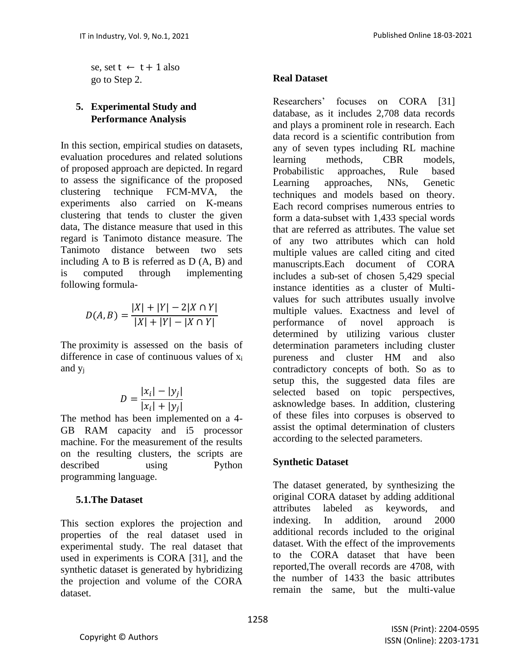se, set  $t \leftarrow t + 1$  also go to Step 2.

# **5. Experimental Study and Performance Analysis**

In this section, empirical studies on datasets, evaluation procedures and related solutions of proposed approach are depicted. In regard to assess the significance of the proposed clustering technique FCM-MVA, the experiments also carried on K-means clustering that tends to cluster the given data, The distance measure that used in this regard is Tanimoto distance measure. The Tanimoto distance between two sets including A to B is referred as D (A, B) and is computed through implementing following formula-

$$
D(A, B) = \frac{|X| + |Y| - 2|X \cap Y|}{|X| + |Y| - |X \cap Y|}
$$

The proximity is assessed on the basis of difference in case of continuous values of x<sup>i</sup> and y<sup>j</sup>

$$
D = \frac{|x_i| - |y_j|}{|x_i| + |y_j|}
$$

The method has been implemented on a 4- GB RAM capacity and i5 processor machine. For the measurement of the results on the resulting clusters, the scripts are described using Python programming language.

# **5.1.The Dataset**

This section explores the projection and properties of the real dataset used in experimental study. The real dataset that used in experiments is CORA [31], and the synthetic dataset is generated by hybridizing the projection and volume of the CORA dataset.

# **Real Dataset**

Researchers' focuses on CORA [31] database, as it includes 2,708 data records and plays a prominent role in research. Each data record is a scientific contribution from any of seven types including RL machine learning methods, CBR models, Probabilistic approaches, Rule based Learning approaches, NNs, Genetic techniques and models based on theory. Each record comprises numerous entries to form a data-subset with 1,433 special words that are referred as attributes. The value set of any two attributes which can hold multiple values are called citing and cited manuscripts.Each document of CORA includes a sub-set of chosen 5,429 special instance identities as a cluster of Multivalues for such attributes usually involve multiple values. Exactness and level of performance of novel approach is determined by utilizing various cluster determination parameters including cluster pureness and cluster HM and also contradictory concepts of both. So as to setup this, the suggested data files are selected based on topic perspectives, asknowledge bases. In addition, clustering of these files into corpuses is observed to assist the optimal determination of clusters according to the selected parameters.

# **Synthetic Dataset**

The dataset generated, by synthesizing the original CORA dataset by adding additional attributes labeled as keywords, and indexing. In addition, around 2000 additional records included to the original dataset. With the effect of the improvements to the CORA dataset that have been reported,The overall records are 4708, with the number of 1433 the basic attributes remain the same, but the multi-value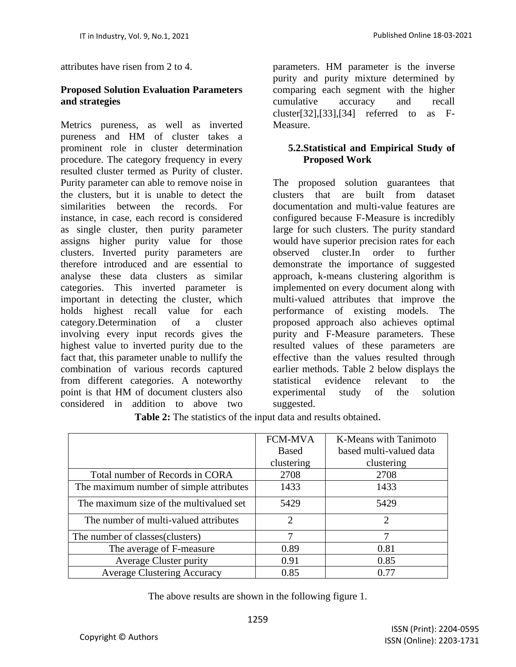attributes have risen from 2 to 4.

#### **Proposed Solution Evaluation Parameters and strategies**

Metrics pureness, as well as inverted pureness and HM of cluster takes a prominent role in cluster determination procedure. The category frequency in every resulted cluster termed as Purity of cluster. Purity parameter can able to remove noise in the clusters, but it is unable to detect the similarities between the records. For instance, in case, each record is considered as single cluster, then purity parameter assigns higher purity value for those clusters. Inverted purity parameters are therefore introduced and are essential to analyse these data clusters as similar categories. This inverted parameter is important in detecting the cluster, which holds highest recall value for each category.Determination of a cluster involving every input records gives the highest value to inverted purity due to the fact that, this parameter unable to nullify the combination of various records captured from different categories. A noteworthy point is that HM of document clusters also considered in addition to above two

parameters. HM parameter is the inverse purity and purity mixture determined by comparing each segment with the higher cumulative accuracy and recall cluster[32],[33],[34] referred to as F-Measure.

#### **5.2.Statistical and Empirical Study of Proposed Work**

The proposed solution guarantees that clusters that are built from dataset documentation and multi-value features are configured because F-Measure is incredibly large for such clusters. The purity standard would have superior precision rates for each observed cluster.In order to further demonstrate the importance of suggested approach, k-means clustering algorithm is implemented on every document along with multi-valued attributes that improve the performance of existing models. The proposed approach also achieves optimal purity and F-Measure parameters. These resulted values of these parameters are effective than the values resulted through earlier methods. Table 2 below displays the statistical evidence relevant to the experimental study of the solution suggested.

**Table 2:** The statistics of the input data and results obtained.

|                                         | <b>FCM-MVA</b>        | K-Means with Tanimoto       |
|-----------------------------------------|-----------------------|-----------------------------|
|                                         | <b>Based</b>          | based multi-valued data     |
|                                         | clustering            | clustering                  |
| Total number of Records in CORA         | 2708                  | 2708                        |
| The maximum number of simple attributes | 1433                  | 1433                        |
| The maximum size of the multivalued set | 5429                  | 5429                        |
| The number of multi-valued attributes   | $\mathcal{D}_{\cdot}$ | $\mathcal{D}_{\mathcal{L}}$ |
| The number of classes (clusters)        | 7                     | 7                           |
| The average of F-measure                | 0.89                  | 0.81                        |
| <b>Average Cluster purity</b>           | 0.91                  | 0.85                        |
| <b>Average Clustering Accuracy</b>      | 0.85                  | 0.77                        |

The above results are shown in the following figure 1.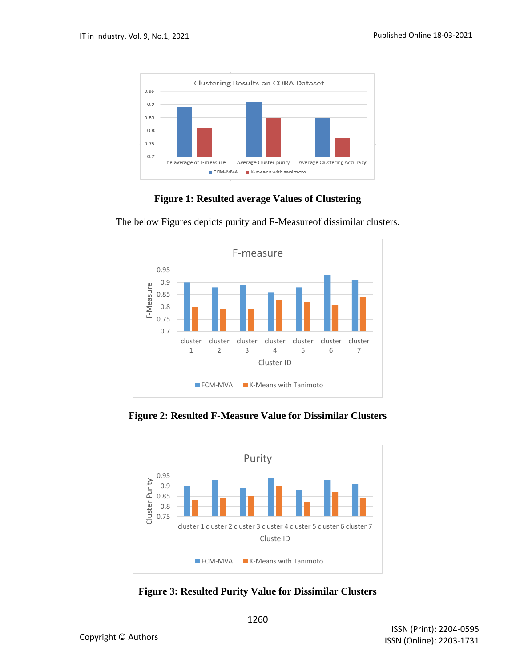

**Figure 1: Resulted average Values of Clustering**



The below Figures depicts purity and F-Measureof dissimilar clusters.

**Figure 2: Resulted F-Measure Value for Dissimilar Clusters**



**Figure 3: Resulted Purity Value for Dissimilar Clusters**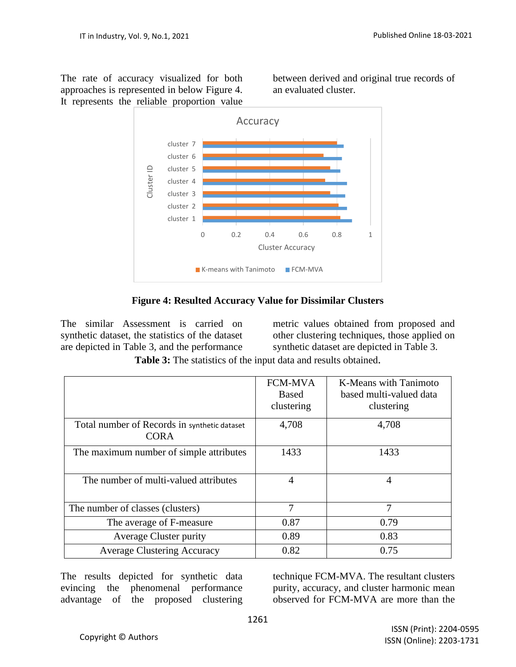The rate of accuracy visualized for both approaches is represented in below Figure 4. It represents the reliable proportion value between derived and original true records of an evaluated cluster.



**Figure 4: Resulted Accuracy Value for Dissimilar Clusters**

The similar Assessment is carried on synthetic dataset, the statistics of the dataset are depicted in Table 3, and the performance metric values obtained from proposed and other clustering techniques, those applied on synthetic dataset are depicted in Table 3.

**Table 3:** The statistics of the input data and results obtained.

|                                                             | <b>FCM-MVA</b><br>Based<br>clustering | K-Means with Tanimoto<br>based multi-valued data<br>clustering |
|-------------------------------------------------------------|---------------------------------------|----------------------------------------------------------------|
| Total number of Records in synthetic dataset<br><b>CORA</b> | 4,708                                 | 4,708                                                          |
| The maximum number of simple attributes                     | 1433                                  | 1433                                                           |
| The number of multi-valued attributes                       | 4                                     | 4                                                              |
| The number of classes (clusters)                            | 7                                     | 7                                                              |
| The average of F-measure                                    | 0.87                                  | 0.79                                                           |
| <b>Average Cluster purity</b>                               | 0.89                                  | 0.83                                                           |
| <b>Average Clustering Accuracy</b>                          | 0.82                                  | 0.75                                                           |

The results depicted for synthetic data evincing the phenomenal performance advantage of the proposed clustering

technique FCM-MVA. The resultant clusters purity, accuracy, and cluster harmonic mean observed for FCM-MVA are more than the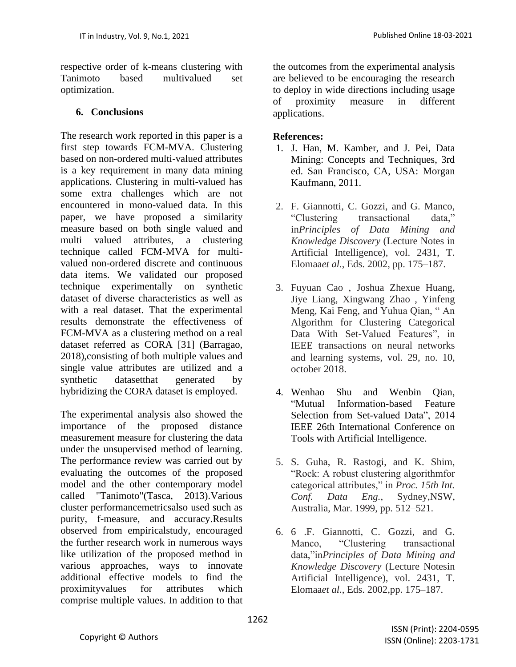respective order of k-means clustering with Tanimoto based multivalued set optimization.

# **6. Conclusions**

The research work reported in this paper is a first step towards FCM-MVA. Clustering based on non-ordered multi-valued attributes is a key requirement in many data mining applications. Clustering in multi-valued has some extra challenges which are not encountered in mono-valued data. In this paper, we have proposed a similarity measure based on both single valued and multi valued attributes, a clustering technique called FCM-MVA for multivalued non-ordered discrete and continuous data items. We validated our proposed technique experimentally on synthetic dataset of diverse characteristics as well as with a real dataset. That the experimental results demonstrate the effectiveness of FCM-MVA as a clustering method on a real dataset referred as CORA [31] (Barragao, 2018),consisting of both multiple values and single value attributes are utilized and a synthetic datasetthat generated by hybridizing the CORA dataset is employed.

The experimental analysis also showed the importance of the proposed distance measurement measure for clustering the data under the unsupervised method of learning. The performance review was carried out by evaluating the outcomes of the proposed model and the other contemporary model called "Tanimoto"(Tasca, 2013).Various cluster performancemetricsalso used such as purity, f-measure, and accuracy.Results observed from empiricalstudy, encouraged the further research work in numerous ways like utilization of the proposed method in various approaches, ways to innovate additional effective models to find the proximityvalues for attributes which comprise multiple values. In addition to that

the outcomes from the experimental analysis are believed to be encouraging the research to deploy in wide directions including usage of proximity measure in different applications.

# **References:**

- 1. J. Han, M. Kamber, and J. Pei, Data Mining: Concepts and Techniques, 3rd ed. San Francisco, CA, USA: Morgan Kaufmann, 2011.
- 2. F. Giannotti, C. Gozzi, and G. Manco, "Clustering transactional data," in*Principles of Data Mining and Knowledge Discovery* (Lecture Notes in Artificial Intelligence), vol. 2431, T. Elomaa*et al.*, Eds. 2002, pp. 175–187.
- 3. Fuyuan Cao , Joshua Zhexue Huang, Jiye Liang, Xingwang Zhao , Yinfeng Meng, Kai Feng, and Yuhua Qian, " An Algorithm for Clustering Categorical Data With Set-Valued Features", in IEEE transactions on neural networks and learning systems, vol. 29, no. 10, october 2018.
- 4. Wenhao Shu and Wenbin Qian, "Mutual Information-based Feature Selection from Set-valued Data", 2014 IEEE 26th International Conference on Tools with Artificial Intelligence.
- 5. S. Guha, R. Rastogi, and K. Shim, "Rock: A robust clustering algorithmfor categorical attributes," in *Proc. 15th Int. Conf. Data Eng.*, Sydney,NSW, Australia, Mar. 1999, pp. 512–521.
- 6. 6 .F. Giannotti, C. Gozzi, and G. Manco, "Clustering transactional data,"in*Principles of Data Mining and Knowledge Discovery* (Lecture Notesin Artificial Intelligence), vol. 2431, T. Elomaa*et al.*, Eds. 2002,pp. 175–187.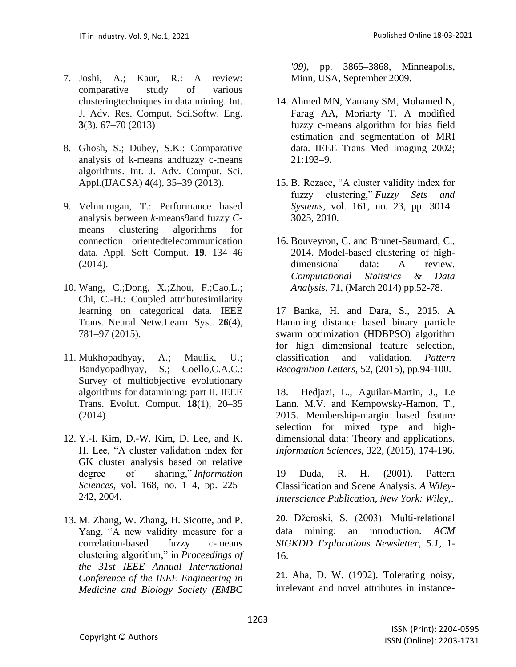- 7. Joshi, A.; Kaur, R.: A review: comparative study of various clusteringtechniques in data mining. Int. J. Adv. Res. Comput. Sci.Softw. Eng. **3**(3), 67–70 (2013)
- 8. Ghosh, S.; Dubey, S.K.: Comparative analysis of k-means andfuzzy c-means algorithms. Int. J. Adv. Comput. Sci. Appl.(IJACSA) **4**(4), 35–39 (2013).
- 9. Velmurugan, T.: Performance based analysis between *k*-means9and fuzzy *C*means clustering algorithms for connection orientedtelecommunication data. Appl. Soft Comput. **19**, 134–46 (2014).
- 10. Wang, C.;Dong, X.;Zhou, F.;Cao,L.; Chi, C.-H.: Coupled attributesimilarity learning on categorical data. IEEE Trans. Neural Netw.Learn. Syst. **26**(4), 781–97 (2015).
- 11. Mukhopadhyay, A.; Maulik, U.; Bandyopadhyay, S.; Coello,C.A.C.: Survey of multiobjective evolutionary algorithms for datamining: part II. IEEE Trans. Evolut. Comput. **18**(1), 20–35 (2014)
- 12. Y.-I. Kim, D.-W. Kim, D. Lee, and K. H. Lee, "A cluster validation index for GK cluster analysis based on relative degree of sharing," *Information Sciences*, vol. 168, no. 1–4, pp. 225– 242, 2004.
- 13. M. Zhang, W. Zhang, H. Sicotte, and P. Yang, "A new validity measure for a correlation-based fuzzy c-means clustering algorithm," in *Proceedings of the 31st IEEE Annual International Conference of the IEEE Engineering in Medicine and Biology Society (EMBC*

*'09)*, pp. 3865–3868, Minneapolis, Minn, USA, September 2009.

- 14. Ahmed MN, Yamany SM, Mohamed N, Farag AA, Moriarty T. A modified fuzzy c-means algorithm for bias field estimation and segmentation of MRI data. IEEE Trans Med Imaging 2002; 21:193–9.
- 15. B. Rezaee, "A cluster validity index for fuzzy clustering," *Fuzzy Sets and Systems*, vol. 161, no. 23, pp. 3014– 3025, 2010.
- 16. Bouveyron, C. and Brunet-Saumard, C., 2014. Model-based clustering of highdimensional data: A review. *Computational Statistics & Data Analysis*, 71, (March 2014) pp.52-78.

17 Banka, H. and Dara, S., 2015. A Hamming distance based binary particle swarm optimization (HDBPSO) algorithm for high dimensional feature selection, classification and validation. *Pattern Recognition Letters*, 52, (2015), pp.94-100.

18. Hedjazi, L., Aguilar-Martin, J., Le Lann, M.V. and Kempowsky-Hamon, T., 2015. Membership-margin based feature selection for mixed type and highdimensional data: Theory and applications. *Information Sciences*, 322, (2015), 174-196.

19 Duda, R. H. (2001). Pattern Classification and Scene Analysis. *A Wiley-Interscience Publication, New York: Wiley,*.

20. Džeroski, S. (2003). Multi-relational data mining: an introduction. *ACM SIGKDD Explorations Newsletter, 5.1*, 1- 16.

21. Aha, D. W. (1992). Tolerating noisy, irrelevant and novel attributes in instance